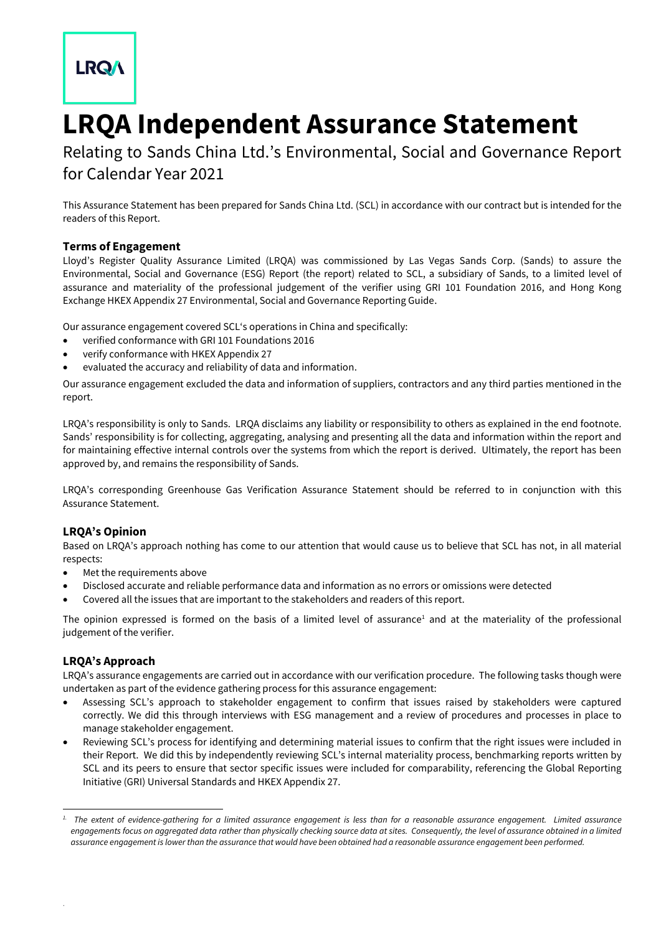# **LRQA**

# **LRQA Independent Assurance Statement**

Relating to Sands China Ltd.'s Environmental, Social and Governance Report for Calendar Year 2021

This Assurance Statement has been prepared for Sands China Ltd. (SCL) in accordance with our contract but is intended for the readers of this Report.

## **Terms of Engagement**

Lloyd's Register Quality Assurance Limited (LRQA) was commissioned by Las Vegas Sands Corp. (Sands) to assure the Environmental, Social and Governance (ESG) Report (the report) related to SCL, a subsidiary of Sands, to a limited level of assurance and materiality of the professional judgement of the verifier using GRI 101 Foundation 2016, and Hong Kong Exchange HKEX Appendix 27 Environmental, Social and Governance Reporting Guide.

Our assurance engagement covered SCL's operations in China and specifically:

- verified conformance with GRI 101 Foundations 2016
- verify conformance with HKEX Appendix 27
- evaluated the accuracy and reliability of data and information.

Our assurance engagement excluded the data and information of suppliers, contractors and any third parties mentioned in the report.

LRQA's responsibility is only to Sands. LRQA disclaims any liability or responsibility to others as explained in the end footnote. Sands' responsibility is for collecting, aggregating, analysing and presenting all the data and information within the report and for maintaining effective internal controls over the systems from which the report is derived. Ultimately, the report has been approved by, and remains the responsibility of Sands.

LRQA's corresponding Greenhouse Gas Verification Assurance Statement should be referred to in conjunction with this Assurance Statement.

## **LRQA's Opinion**

Based on LRQA's approach nothing has come to our attention that would cause us to believe that SCL has not, in all material respects:

- Met the requirements above
- Disclosed accurate and reliable performance data and information as no errors or omissions were detected
- Covered all the issues that are important to the stakeholders and readers of this report.

The opinion expressed is formed on the basis of a limited level of assurance<sup>1</sup> and at the materiality of the professional judgement of the verifier.

## **LRQA's Approach**

.

-

LRQA's assurance engagements are carried out in accordance with our verification procedure. The following tasks though were undertaken as part of the evidence gathering process for this assurance engagement:

- Assessing SCL's approach to stakeholder engagement to confirm that issues raised by stakeholders were captured correctly. We did this through interviews with ESG management and a review of procedures and processes in place to manage stakeholder engagement.
- Reviewing SCL's process for identifying and determining material issues to confirm that the right issues were included in their Report. We did this by independently reviewing SCL's internal materiality process, benchmarking reports written by SCL and its peers to ensure that sector specific issues were included for comparability, referencing the Global Reporting Initiative (GRI) Universal Standards and HKEX Appendix 27.

*<sup>1.</sup> The extent of evidence-gathering for a limited assurance engagement is less than for a reasonable assurance engagement. Limited assurance*  engagements focus on aggregated data rather than physically checking source data at sites. Consequently, the level of assurance obtained in a limited *assurance engagement is lower than the assurance that would have been obtained had a reasonable assurance engagement been performed.*